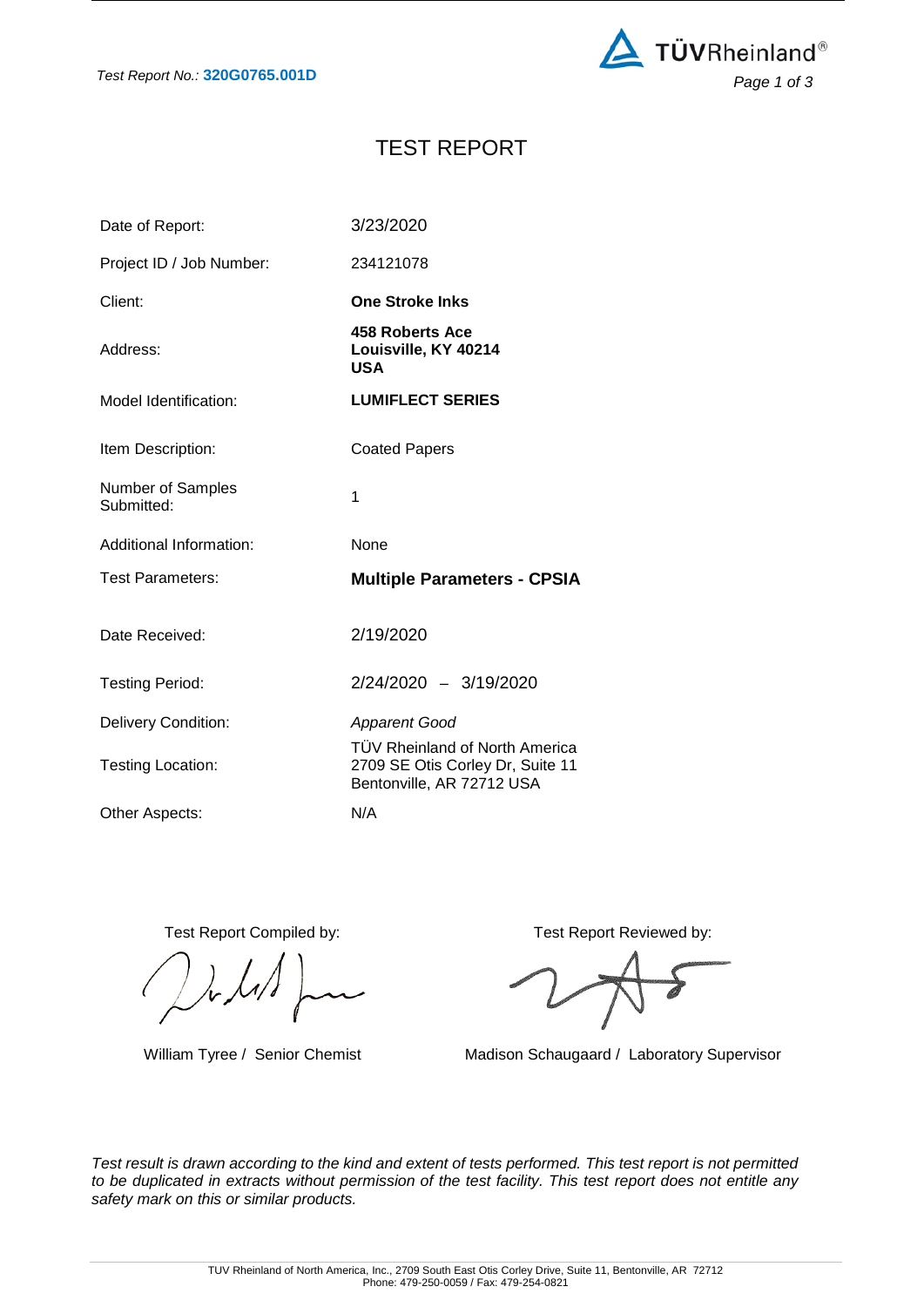

# TEST REPORT

| Date of Report:                 | 3/23/2020                                                                                       |
|---------------------------------|-------------------------------------------------------------------------------------------------|
| Project ID / Job Number:        | 234121078                                                                                       |
| Client:                         | <b>One Stroke Inks</b>                                                                          |
| Address:                        | <b>458 Roberts Ace</b><br>Louisville, KY 40214<br><b>USA</b>                                    |
| Model Identification:           | <b>LUMIFLECT SERIES</b>                                                                         |
| Item Description:               | <b>Coated Papers</b>                                                                            |
| Number of Samples<br>Submitted: | 1                                                                                               |
|                                 |                                                                                                 |
| Additional Information:         | <b>None</b>                                                                                     |
| <b>Test Parameters:</b>         | <b>Multiple Parameters - CPSIA</b>                                                              |
| Date Received:                  | 2/19/2020                                                                                       |
| <b>Testing Period:</b>          | 2/24/2020 - 3/19/2020                                                                           |
| <b>Delivery Condition:</b>      | <b>Apparent Good</b>                                                                            |
| Testing Location:               | TÜV Rheinland of North America<br>2709 SE Otis Corley Dr, Suite 11<br>Bentonville, AR 72712 USA |

Test Report Compiled by: Test Report Reviewed by:

William Tyree / Senior Chemist Madison Schaugaard / Laboratory Supervisor

*Test result is drawn according to the kind and extent of tests performed. This test report is not permitted to be duplicated in extracts without permission of the test facility. This test report does not entitle any safety mark on this or similar products.*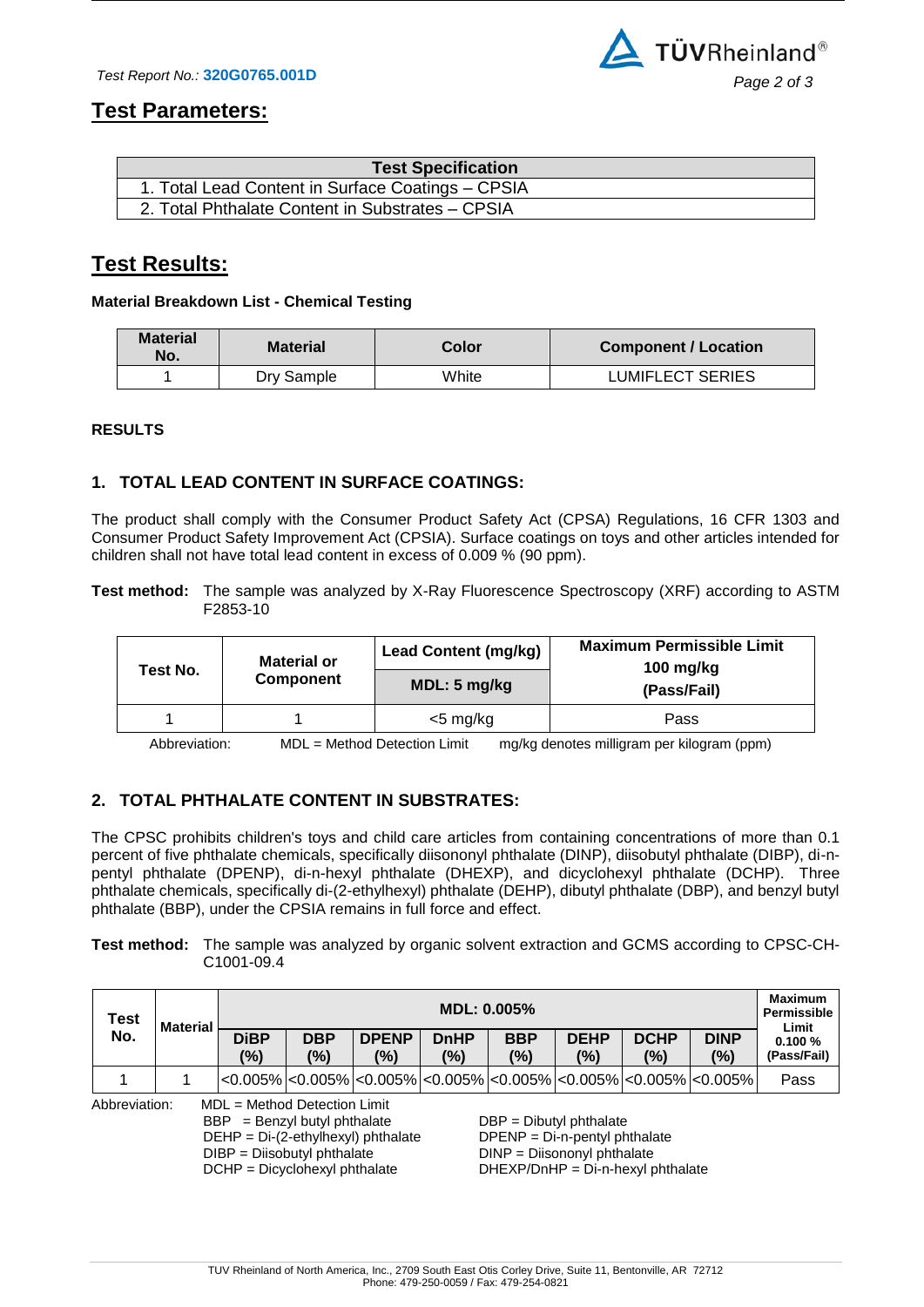

### **Test Parameters:**

| <b>Test Specification</b>                         |  |
|---------------------------------------------------|--|
| 1. Total Lead Content in Surface Coatings - CPSIA |  |
| 2. Total Phthalate Content in Substrates - CPSIA  |  |

## **Test Results:**

#### **Material Breakdown List - Chemical Testing**

| <b>Material</b><br>No. | <b>Material</b> | Color | Component / Location    |  |  |  |
|------------------------|-----------------|-------|-------------------------|--|--|--|
|                        | Dry Sample      | White | <b>LUMIFLECT SERIES</b> |  |  |  |

#### **RESULTS**

### **1. TOTAL LEAD CONTENT IN SURFACE COATINGS:**

The product shall comply with the Consumer Product Safety Act (CPSA) Regulations, 16 CFR 1303 and Consumer Product Safety Improvement Act (CPSIA). Surface coatings on toys and other articles intended for children shall not have total lead content in excess of 0.009 % (90 ppm).

**Test method:** The sample was analyzed by X-Ray Fluorescence Spectroscopy (XRF) according to ASTM F2853-10

|                                                                                                                                                                                                                                                                                                                  | <b>Material or</b> | <b>Lead Content (mg/kg)</b> | <b>Maximum Permissible Limit</b><br>100 $mg/kg$ |  |  |  |
|------------------------------------------------------------------------------------------------------------------------------------------------------------------------------------------------------------------------------------------------------------------------------------------------------------------|--------------------|-----------------------------|-------------------------------------------------|--|--|--|
| Test No.                                                                                                                                                                                                                                                                                                         | Component          | MDL: 5 mg/kg                | (Pass/Fail)                                     |  |  |  |
|                                                                                                                                                                                                                                                                                                                  |                    | $<$ 5 mg/kg                 | Pass                                            |  |  |  |
| $\mathbf{M}$ and $\mathbf{N}$ and $\mathbf{N}$ and $\mathbf{N}$ and $\mathbf{N}$ and $\mathbf{N}$ and $\mathbf{N}$ and $\mathbf{N}$ and $\mathbf{N}$ and $\mathbf{N}$ and $\mathbf{N}$ and $\mathbf{N}$ and $\mathbf{N}$ and $\mathbf{N}$ and $\mathbf{N}$ and $\mathbf{N}$ and $\mathbf{N}$ and<br>$\mathbf{A}$ |                    |                             |                                                 |  |  |  |

Abbreviation: MDL = Method Detection Limit mg/kg denotes milligram per kilogram (ppm)

### **2. TOTAL PHTHALATE CONTENT IN SUBSTRATES:**

The CPSC prohibits children's toys and child care articles from containing concentrations of more than 0.1 percent of five phthalate chemicals, specifically diisononyl phthalate (DINP), diisobutyl phthalate (DIBP), di-npentyl phthalate (DPENP), di-n-hexyl phthalate (DHEXP), and dicyclohexyl phthalate (DCHP). Three phthalate chemicals, specifically di-(2-ethylhexyl) phthalate (DEHP), dibutyl phthalate (DBP), and benzyl butyl phthalate (BBP), under the CPSIA remains in full force and effect.

#### **Test method:** The sample was analyzed by organic solvent extraction and GCMS according to CPSC-CH-C1001-09.4

| <b>Test</b>                                                                                                                                                                                                                                                                                                                            | <b>Material</b> | $MDL: 0.005\%$     |                   |                     |                    |                   |                       | <b>Maximum</b><br><b>Permissible</b><br>Limit |                                                                                                                          |                       |
|----------------------------------------------------------------------------------------------------------------------------------------------------------------------------------------------------------------------------------------------------------------------------------------------------------------------------------------|-----------------|--------------------|-------------------|---------------------|--------------------|-------------------|-----------------------|-----------------------------------------------|--------------------------------------------------------------------------------------------------------------------------|-----------------------|
| No.                                                                                                                                                                                                                                                                                                                                    |                 | <b>DiBP</b><br>(%) | <b>DBP</b><br>(%) | <b>DPENP</b><br>(%) | <b>DnHP</b><br>(%) | <b>BBP</b><br>(%) | <b>DEHP</b><br>$(\%)$ | <b>DCHP</b><br>(%)                            | <b>DINP</b><br>(%)                                                                                                       | 0.100%<br>(Pass/Fail) |
|                                                                                                                                                                                                                                                                                                                                        |                 |                    |                   |                     |                    |                   |                       |                                               | $ <\!\!0.005\% <\!\!0.005\% <\!\!0.005\% <\!\!0.005\% <\!\!0.005\% <\!\!0.005\% <\!\!0.005\% <\!\!0.005\% <\!\!0.005\% $ | Pass                  |
| Abbreviation:<br>$MDL = Method$ Detection Limit<br>$BBP = \text{Benzyl butyl}$ phthalate<br>$DBP = DibutyI$ phthalate<br>$DEHP = Di-(2-ethylhexyl)$ phthalate<br>$DPENP = Di-n-pentyl phthalate$<br>DIBP = Diisobutyl phthalate<br>DINP = Diisononyl phthalate<br>DCHP = Dicyclohexyl phthalate<br>$DHEXP/DnHP = Di-n-hexyl phthalate$ |                 |                    |                   |                     |                    |                   |                       |                                               |                                                                                                                          |                       |